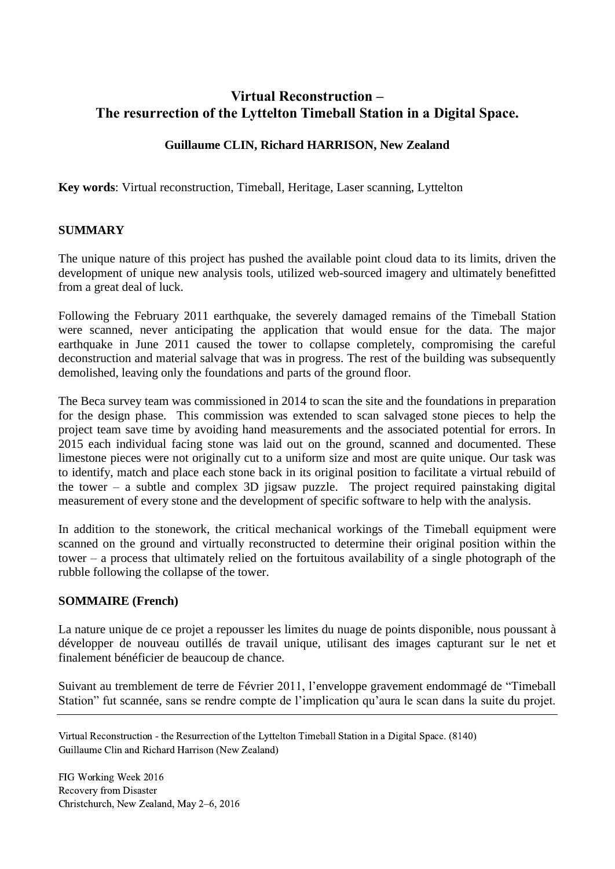# **Virtual Reconstruction – The resurrection of the Lyttelton Timeball Station in a Digital Space.**

### **Guillaume CLIN, Richard HARRISON, New Zealand**

**Key words**: Virtual reconstruction, Timeball, Heritage, Laser scanning, Lyttelton

### **SUMMARY**

The unique nature of this project has pushed the available point cloud data to its limits, driven the development of unique new analysis tools, utilized web-sourced imagery and ultimately benefitted from a great deal of luck.

Following the February 2011 earthquake, the severely damaged remains of the Timeball Station were scanned, never anticipating the application that would ensue for the data. The major earthquake in June 2011 caused the tower to collapse completely, compromising the careful deconstruction and material salvage that was in progress. The rest of the building was subsequently demolished, leaving only the foundations and parts of the ground floor.

The Beca survey team was commissioned in 2014 to scan the site and the foundations in preparation for the design phase. This commission was extended to scan salvaged stone pieces to help the project team save time by avoiding hand measurements and the associated potential for errors. In 2015 each individual facing stone was laid out on the ground, scanned and documented. These limestone pieces were not originally cut to a uniform size and most are quite unique. Our task was to identify, match and place each stone back in its original position to facilitate a virtual rebuild of the tower – a subtle and complex 3D jigsaw puzzle. The project required painstaking digital measurement of every stone and the development of specific software to help with the analysis.

In addition to the stonework, the critical mechanical workings of the Timeball equipment were scanned on the ground and virtually reconstructed to determine their original position within the tower – a process that ultimately relied on the fortuitous availability of a single photograph of the rubble following the collapse of the tower.

#### **SOMMAIRE (French)**

La nature unique de ce projet a repousser les limites du nuage de points disponible, nous poussant à développer de nouveau outillés de travail unique, utilisant des images capturant sur le net et finalement bénéficier de beaucoup de chance.

Suivant au tremblement de terre de Février 2011, l'enveloppe gravement endommagé de "Timeball Station" fut scannée, sans se rendre compte de l'implication qu'aura le scan dans la suite du projet.

Virtual Reconstruction - the Resurrection of the Lyttelton Timeball Station in a Digital Space. (8140) Guillaume Clin and Richard Harrison (New Zealand)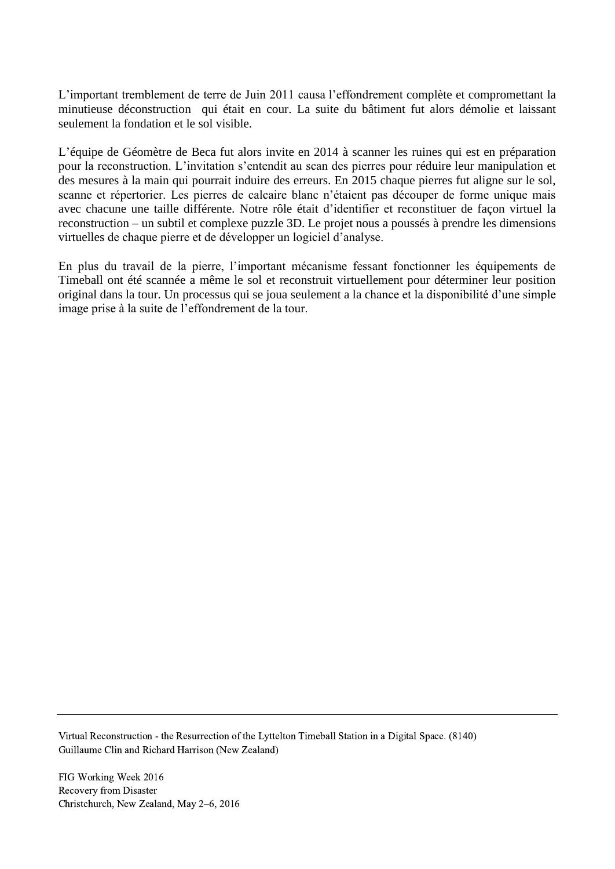L'important tremblement de terre de Juin 2011 causa l'effondrement complète et compromettant la minutieuse déconstruction qui était en cour. La suite du bâtiment fut alors démolie et laissant seulement la fondation et le sol visible.

L'équipe de Géomètre de Beca fut alors invite en 2014 à scanner les ruines qui est en préparation pour la reconstruction. L'invitation s'entendit au scan des pierres pour réduire leur manipulation et des mesures à la main qui pourrait induire des erreurs. En 2015 chaque pierres fut aligne sur le sol, scanne et répertorier. Les pierres de calcaire blanc n'étaient pas découper de forme unique mais avec chacune une taille différente. Notre rôle était d'identifier et reconstituer de façon virtuel la reconstruction – un subtil et complexe puzzle 3D. Le projet nous a poussés à prendre les dimensions virtuelles de chaque pierre et de développer un logiciel d'analyse.

En plus du travail de la pierre, l'important mécanisme fessant fonctionner les équipements de Timeball ont été scannée a même le sol et reconstruit virtuellement pour déterminer leur position original dans la tour. Un processus qui se joua seulement a la chance et la disponibilité d'une simple image prise à la suite de l'effondrement de la tour.

Virtual Reconstruction - the Resurrection of the Lyttelton Timeball Station in a Digital Space. (8140) Guillaume Clin and Richard Harrison (New Zealand)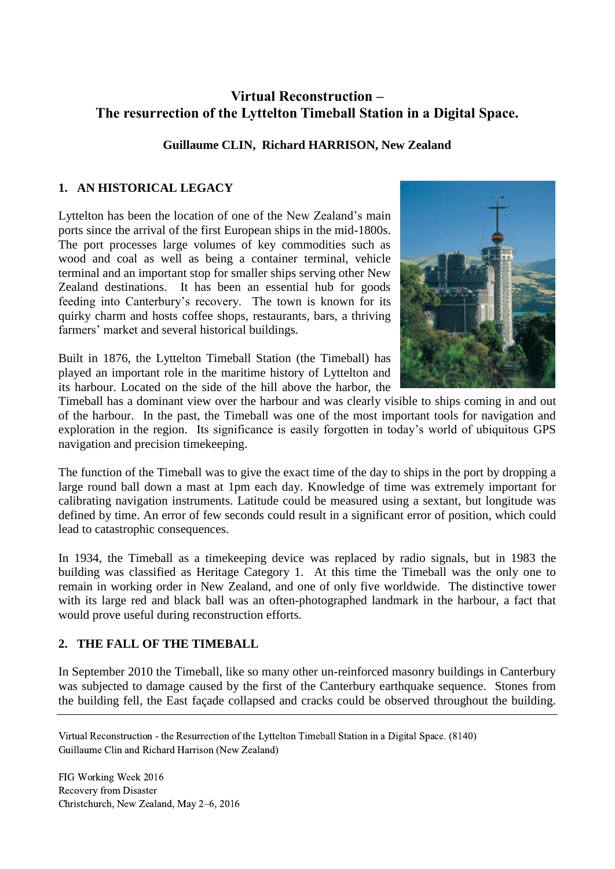# **Virtual Reconstruction – The resurrection of the Lyttelton Timeball Station in a Digital Space.**

## **Guillaume CLIN, Richard HARRISON, New Zealand**

## **1. AN HISTORICAL LEGACY**

Lyttelton has been the location of one of the New Zealand's main ports since the arrival of the first European ships in the mid-1800s. The port processes large volumes of key commodities such as wood and coal as well as being a container terminal, vehicle terminal and an important stop for smaller ships serving other New Zealand destinations. It has been an essential hub for goods feeding into Canterbury's recovery. The town is known for its quirky charm and hosts coffee shops, restaurants, bars, a thriving farmers' market and several historical buildings.

Built in 1876, the Lyttelton Timeball Station (the Timeball) has played an important role in the maritime history of Lyttelton and its harbour. Located on the side of the hill above the harbor, the



Timeball has a dominant view over the harbour and was clearly visible to ships coming in and out of the harbour. In the past, the Timeball was one of the most important tools for navigation and exploration in the region. Its significance is easily forgotten in today's world of ubiquitous GPS navigation and precision timekeeping.

The function of the Timeball was to give the exact time of the day to ships in the port by dropping a large round ball down a mast at 1pm each day. Knowledge of time was extremely important for calibrating navigation instruments. Latitude could be measured using a sextant, but longitude was defined by time. An error of few seconds could result in a significant error of position, which could lead to catastrophic consequences.

In 1934, the Timeball as a timekeeping device was replaced by radio signals, but in 1983 the building was classified as Heritage Category 1. At this time the Timeball was the only one to remain in working order in New Zealand, and one of only five worldwide. The distinctive tower with its large red and black ball was an often-photographed landmark in the harbour, a fact that would prove useful during reconstruction efforts.

## **2. THE FALL OF THE TIMEBALL**

In September 2010 the Timeball, like so many other un-reinforced masonry buildings in Canterbury was subjected to damage caused by the first of the Canterbury earthquake sequence. Stones from the building fell, the East façade collapsed and cracks could be observed throughout the building.

Virtual Reconstruction - the Resurrection of the Lyttelton Timeball Station in a Digital Space. (8140) Guillaume Clin and Richard Harrison (New Zealand)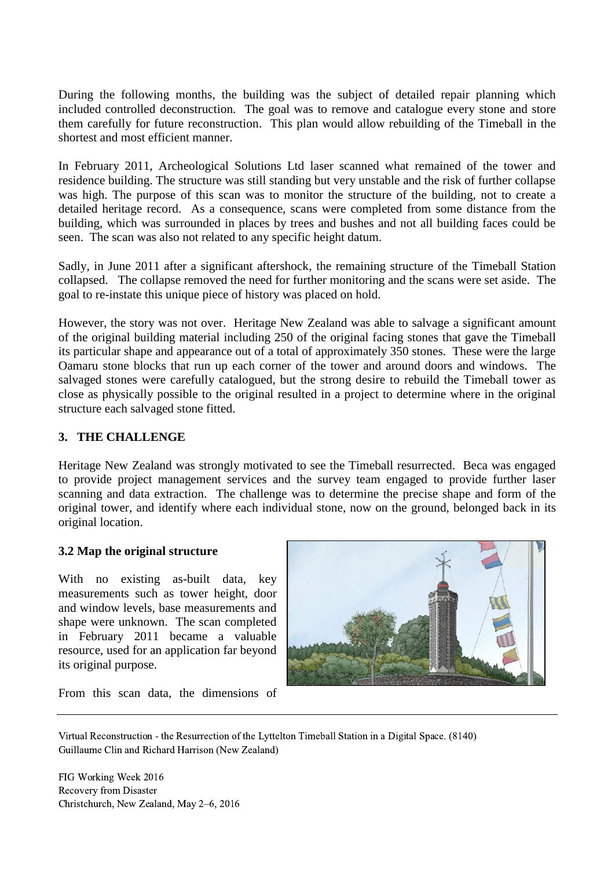During the following months, the building was the subject of detailed repair planning which included controlled deconstruction. The goal was to remove and catalogue every stone and store them carefully for future reconstruction. This plan would allow rebuilding of the Timeball in the shortest and most efficient manner.

In February 2011, Archeological Solutions Ltd laser scanned what remained of the tower and residence building. The structure was still standing but very unstable and the risk of further collapse was high. The purpose of this scan was to monitor the structure of the building, not to create a detailed heritage record. As a consequence, scans were completed from some distance from the building, which was surrounded in places by trees and bushes and not all building faces could be seen. The scan was also not related to any specific height datum.

Sadly, in June 2011 after a significant aftershock, the remaining structure of the Timeball Station collapsed. The collapse removed the need for further monitoring and the scans were set aside. The goal to re-instate this unique piece of history was placed on hold.

However, the story was not over. Heritage New Zealand was able to salvage a significant amount of the original building material including 250 of the original facing stones that gave the Timeball its particular shape and appearance out of a total of approximately 350 stones. These were the large Oamaru stone blocks that run up each corner of the tower and around doors and windows. The salvaged stones were carefully catalogued, but the strong desire to rebuild the Timeball tower as close as physically possible to the original resulted in a project to determine where in the original structure each salvaged stone fitted.

## **3. THE CHALLENGE**

Heritage New Zealand was strongly motivated to see the Timeball resurrected. Beca was engaged to provide project management services and the survey team engaged to provide further laser scanning and data extraction. The challenge was to determine the precise shape and form of the original tower, and identify where each individual stone, now on the ground, belonged back in its original location.

#### **3.2 Map the original structure**

With no existing as-built data, key measurements such as tower height, door and window levels, base measurements and shape were unknown. The scan completed in February 2011 became a valuable resource, used for an application far beyond its original purpose.



From this scan data, the dimensions of

Virtual Reconstruction - the Resurrection of the Lyttelton Timeball Station in a Digital Space. (8140) Guillaume Clin and Richard Harrison (New Zealand)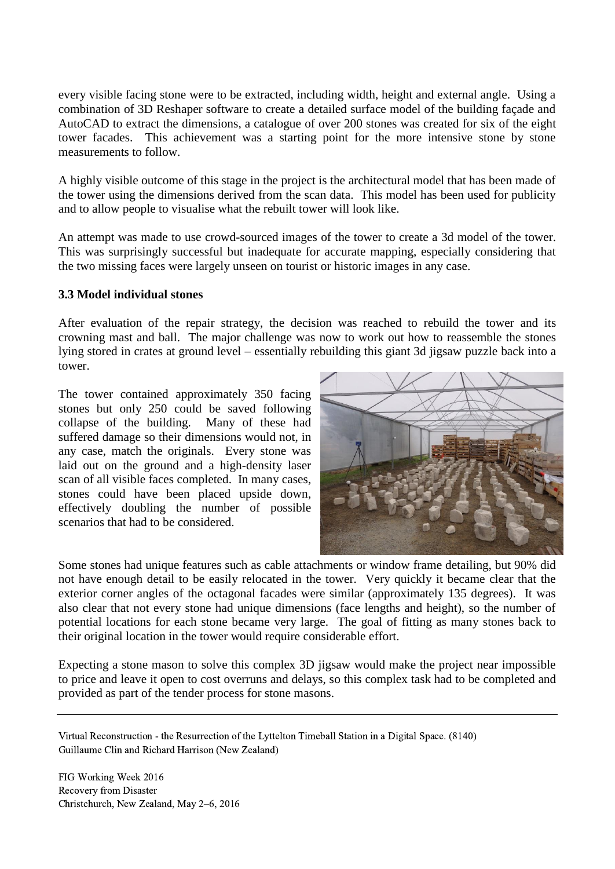every visible facing stone were to be extracted, including width, height and external angle. Using a combination of 3D Reshaper software to create a detailed surface model of the building façade and AutoCAD to extract the dimensions, a catalogue of over 200 stones was created for six of the eight tower facades. This achievement was a starting point for the more intensive stone by stone measurements to follow.

A highly visible outcome of this stage in the project is the architectural model that has been made of the tower using the dimensions derived from the scan data. This model has been used for publicity and to allow people to visualise what the rebuilt tower will look like.

An attempt was made to use crowd-sourced images of the tower to create a 3d model of the tower. This was surprisingly successful but inadequate for accurate mapping, especially considering that the two missing faces were largely unseen on tourist or historic images in any case.

#### **3.3 Model individual stones**

After evaluation of the repair strategy, the decision was reached to rebuild the tower and its crowning mast and ball. The major challenge was now to work out how to reassemble the stones lying stored in crates at ground level – essentially rebuilding this giant 3d jigsaw puzzle back into a tower.

The tower contained approximately 350 facing stones but only 250 could be saved following collapse of the building. Many of these had suffered damage so their dimensions would not, in any case, match the originals. Every stone was laid out on the ground and a high-density laser scan of all visible faces completed. In many cases, stones could have been placed upside down, effectively doubling the number of possible scenarios that had to be considered.



Some stones had unique features such as cable attachments or window frame detailing, but 90% did not have enough detail to be easily relocated in the tower. Very quickly it became clear that the exterior corner angles of the octagonal facades were similar (approximately 135 degrees). It was also clear that not every stone had unique dimensions (face lengths and height), so the number of potential locations for each stone became very large. The goal of fitting as many stones back to their original location in the tower would require considerable effort.

Expecting a stone mason to solve this complex 3D jigsaw would make the project near impossible to price and leave it open to cost overruns and delays, so this complex task had to be completed and provided as part of the tender process for stone masons.

Virtual Reconstruction - the Resurrection of the Lyttelton Timeball Station in a Digital Space. (8140) Guillaume Clin and Richard Harrison (New Zealand)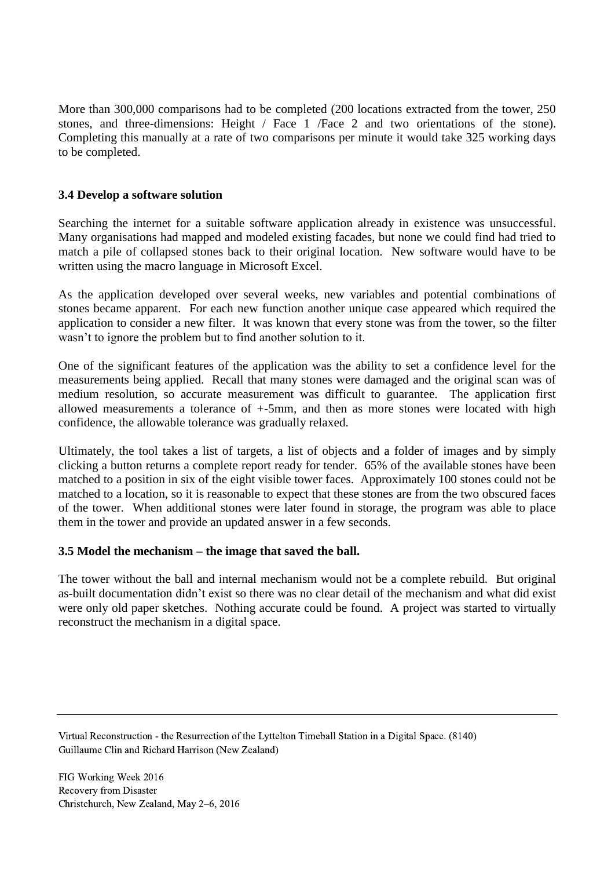More than 300,000 comparisons had to be completed (200 locations extracted from the tower, 250 stones, and three-dimensions: Height / Face 1 /Face 2 and two orientations of the stone). Completing this manually at a rate of two comparisons per minute it would take 325 working days to be completed.

### **3.4 Develop a software solution**

Searching the internet for a suitable software application already in existence was unsuccessful. Many organisations had mapped and modeled existing facades, but none we could find had tried to match a pile of collapsed stones back to their original location. New software would have to be written using the macro language in Microsoft Excel.

As the application developed over several weeks, new variables and potential combinations of stones became apparent. For each new function another unique case appeared which required the application to consider a new filter. It was known that every stone was from the tower, so the filter wasn't to ignore the problem but to find another solution to it.

One of the significant features of the application was the ability to set a confidence level for the measurements being applied. Recall that many stones were damaged and the original scan was of medium resolution, so accurate measurement was difficult to guarantee. The application first allowed measurements a tolerance of +-5mm, and then as more stones were located with high confidence, the allowable tolerance was gradually relaxed.

Ultimately, the tool takes a list of targets, a list of objects and a folder of images and by simply clicking a button returns a complete report ready for tender. 65% of the available stones have been matched to a position in six of the eight visible tower faces. Approximately 100 stones could not be matched to a location, so it is reasonable to expect that these stones are from the two obscured faces of the tower. When additional stones were later found in storage, the program was able to place them in the tower and provide an updated answer in a few seconds.

#### **3.5 Model the mechanism – the image that saved the ball.**

The tower without the ball and internal mechanism would not be a complete rebuild. But original as-built documentation didn't exist so there was no clear detail of the mechanism and what did exist were only old paper sketches. Nothing accurate could be found. A project was started to virtually reconstruct the mechanism in a digital space.

Virtual Reconstruction - the Resurrection of the Lyttelton Timeball Station in a Digital Space. (8140) Guillaume Clin and Richard Harrison (New Zealand)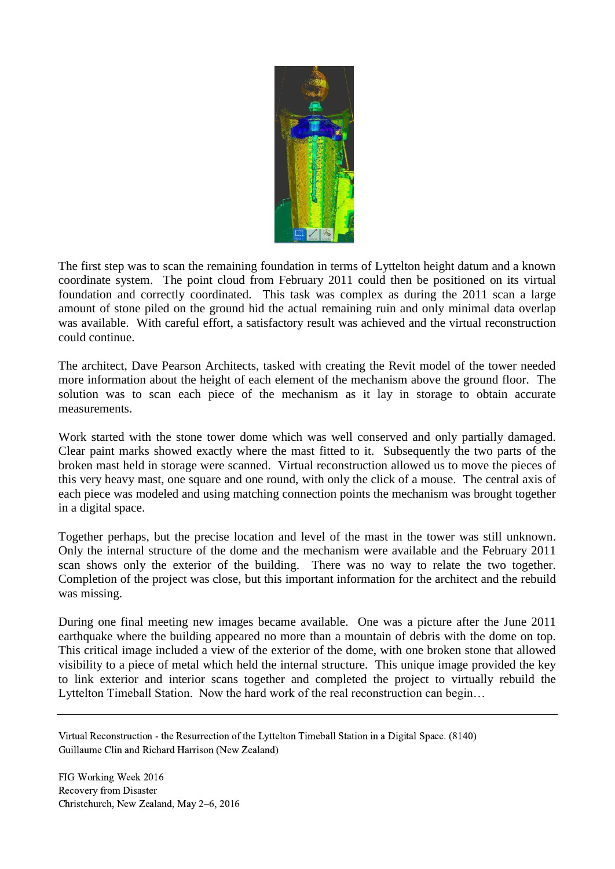

The first step was to scan the remaining foundation in terms of Lyttelton height datum and a known coordinate system. The point cloud from February 2011 could then be positioned on its virtual foundation and correctly coordinated. This task was complex as during the 2011 scan a large amount of stone piled on the ground hid the actual remaining ruin and only minimal data overlap was available. With careful effort, a satisfactory result was achieved and the virtual reconstruction could continue.

The architect, Dave Pearson Architects, tasked with creating the Revit model of the tower needed more information about the height of each element of the mechanism above the ground floor. The solution was to scan each piece of the mechanism as it lay in storage to obtain accurate measurements.

Work started with the stone tower dome which was well conserved and only partially damaged. Clear paint marks showed exactly where the mast fitted to it. Subsequently the two parts of the broken mast held in storage were scanned. Virtual reconstruction allowed us to move the pieces of this very heavy mast, one square and one round, with only the click of a mouse. The central axis of each piece was modeled and using matching connection points the mechanism was brought together in a digital space.

Together perhaps, but the precise location and level of the mast in the tower was still unknown. Only the internal structure of the dome and the mechanism were available and the February 2011 scan shows only the exterior of the building. There was no way to relate the two together. Completion of the project was close, but this important information for the architect and the rebuild was missing.

During one final meeting new images became available. One was a picture after the June 2011 earthquake where the building appeared no more than a mountain of debris with the dome on top. This critical image included a view of the exterior of the dome, with one broken stone that allowed visibility to a piece of metal which held the internal structure. This unique image provided the key to link exterior and interior scans together and completed the project to virtually rebuild the Lyttelton Timeball Station. Now the hard work of the real reconstruction can begin…

Virtual Reconstruction - the Resurrection of the Lyttelton Timeball Station in a Digital Space. (8140) Guillaume Clin and Richard Harrison (New Zealand)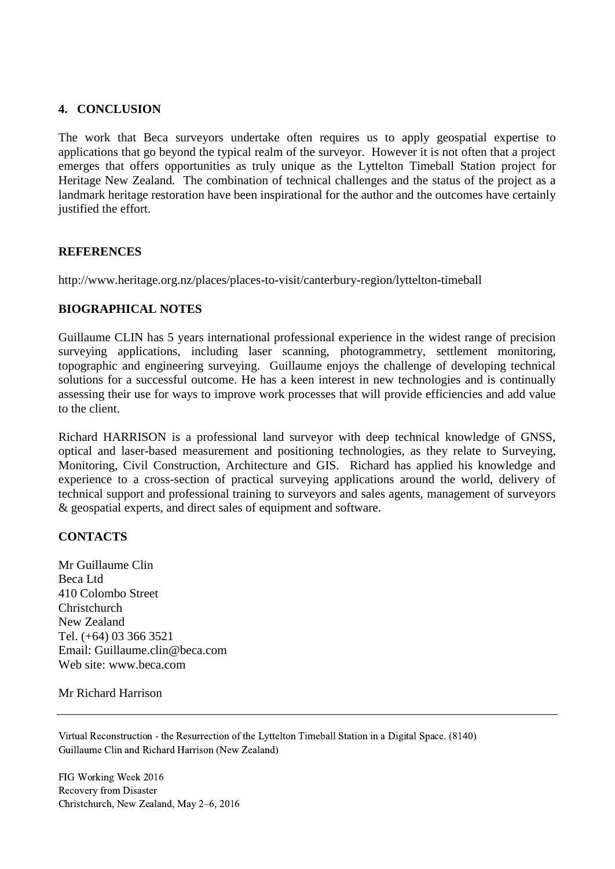### **4. CONCLUSION**

The work that Beca surveyors undertake often requires us to apply geospatial expertise to applications that go beyond the typical realm of the surveyor. However it is not often that a project emerges that offers opportunities as truly unique as the Lyttelton Timeball Station project for Heritage New Zealand. The combination of technical challenges and the status of the project as a landmark heritage restoration have been inspirational for the author and the outcomes have certainly justified the effort.

#### **REFERENCES**

http://www.heritage.org.nz/places/places-to-visit/canterbury-region/lyttelton-timeball

#### **BIOGRAPHICAL NOTES**

Guillaume CLIN has 5 years international professional experience in the widest range of precision surveying applications, including laser scanning, photogrammetry, settlement monitoring, topographic and engineering surveying. Guillaume enjoys the challenge of developing technical solutions for a successful outcome. He has a keen interest in new technologies and is continually assessing their use for ways to improve work processes that will provide efficiencies and add value to the client.

Richard HARRISON is a professional land surveyor with deep technical knowledge of GNSS, optical and laser-based measurement and positioning technologies, as they relate to Surveying, Monitoring, Civil Construction, Architecture and GIS. Richard has applied his knowledge and experience to a cross-section of practical surveying applications around the world, delivery of technical support and professional training to surveyors and sales agents, management of surveyors & geospatial experts, and direct sales of equipment and software.

#### **CONTACTS**

Mr Guillaume Clin Beca Ltd 410 Colombo Street Christchurch New Zealand Tel. (+64) 03 366 3521 Email: Guillaume.clin@beca.com Web site: www.beca.com

#### Mr Richard Harrison

Virtual Reconstruction - the Resurrection of the Lyttelton Timeball Station in a Digital Space. (8140) Guillaume Clin and Richard Harrison (New Zealand)